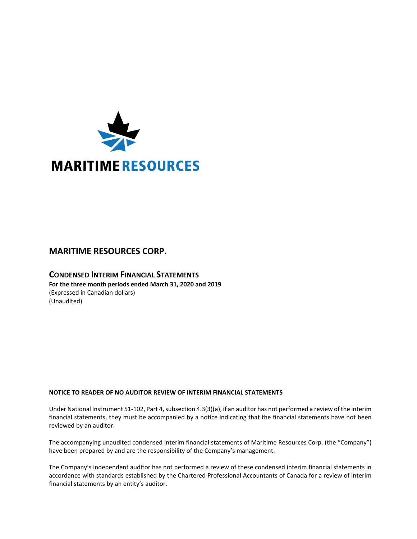

# **MARITIME RESOURCES CORP.**

**CONDENSED INTERIM FINANCIAL STATEMENTS For the three month periods ended March 31, 2020 and 2019** (Expressed in Canadian dollars) (Unaudited)

# **NOTICE TO READER OF NO AUDITOR REVIEW OF INTERIM FINANCIAL STATEMENTS**

Under National Instrument 51-102, Part 4, subsection 4.3(3)(a), if an auditor has not performed a review of the interim financial statements, they must be accompanied by a notice indicating that the financial statements have not been reviewed by an auditor.

The accompanying unaudited condensed interim financial statements of Maritime Resources Corp. (the "Company") have been prepared by and are the responsibility of the Company's management.

The Company's independent auditor has not performed a review of these condensed interim financial statements in accordance with standards established by the Chartered Professional Accountants of Canada for a review of interim financial statements by an entity's auditor.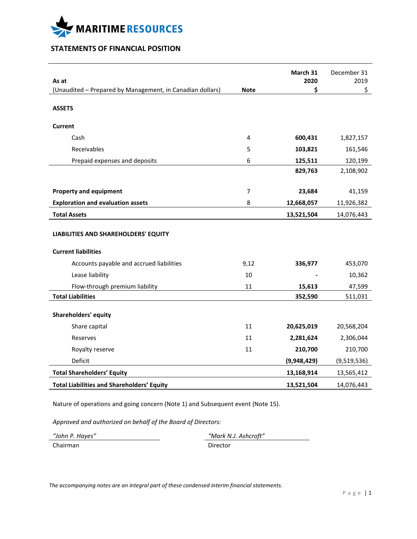

# **STATEMENTS OF FINANCIAL POSITION**

| As at                                                     |                | March 31<br>2020 | December 31<br>2019 |
|-----------------------------------------------------------|----------------|------------------|---------------------|
| (Unaudited - Prepared by Management, in Canadian dollars) | <b>Note</b>    | \$               | \$                  |
|                                                           |                |                  |                     |
| <b>ASSETS</b>                                             |                |                  |                     |
| <b>Current</b>                                            |                |                  |                     |
| Cash                                                      | 4              | 600,431          | 1,827,157           |
| Receivables                                               | 5              | 103,821          | 161,546             |
| Prepaid expenses and deposits                             | 6              | 125,511          | 120,199             |
|                                                           |                | 829,763          | 2,108,902           |
|                                                           |                |                  |                     |
| <b>Property and equipment</b>                             | $\overline{7}$ | 23,684           | 41,159              |
| <b>Exploration and evaluation assets</b>                  | 8              | 12,668,057       | 11,926,382          |
| <b>Total Assets</b>                                       |                | 13,521,504       | 14,076,443          |
| LIABILITIES AND SHAREHOLDERS' EQUITY                      |                |                  |                     |
| <b>Current liabilities</b>                                |                |                  |                     |
| Accounts payable and accrued liabilities                  | 9,12           | 336,977          | 453,070             |
| Lease liability                                           | 10             |                  | 10,362              |
| Flow-through premium liability                            | 11             | 15,613           | 47,599              |
| <b>Total Liabilities</b>                                  |                | 352,590          | 511,031             |
| <b>Shareholders' equity</b>                               |                |                  |                     |
| Share capital                                             | 11             | 20,625,019       | 20,568,204          |
| Reserves                                                  | 11             | 2,281,624        | 2,306,044           |
| Royalty reserve                                           | 11             | 210,700          | 210,700             |
| Deficit                                                   |                | (9,948,429)      | (9,519,536)         |
| <b>Total Shareholders' Equity</b>                         |                | 13,168,914       | 13,565,412          |
| <b>Total Liabilities and Shareholders' Equity</b>         |                | 13,521,504       | 14,076,443          |

Nature of operations and going concern (Note 1) and Subsequent event (Note 15).

*Approved and authorized on behalf of the Board of Directors:*

*"John P. Hayes" "Mark N.J. Ashcroft"* Chairman Director

*The accompanying notes are an integral part of these condensed interim financial statements.*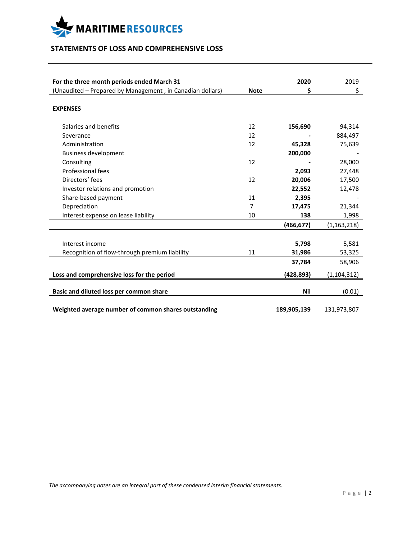

# **STATEMENTS OF LOSS AND COMPREHENSIVE LOSS**

| For the three month periods ended March 31                |             | 2020        | 2019          |
|-----------------------------------------------------------|-------------|-------------|---------------|
| (Unaudited - Prepared by Management, in Canadian dollars) | <b>Note</b> | \$          | \$            |
|                                                           |             |             |               |
| <b>EXPENSES</b>                                           |             |             |               |
| Salaries and benefits                                     | 12          | 156,690     | 94,314        |
| Severance                                                 | 12          |             | 884,497       |
| Administration                                            | 12          | 45,328      | 75,639        |
| <b>Business development</b>                               |             | 200,000     |               |
| Consulting                                                | 12          |             | 28,000        |
| Professional fees                                         |             | 2,093       | 27,448        |
| Directors' fees                                           | 12          | 20,006      | 17,500        |
| Investor relations and promotion                          |             | 22,552      | 12,478        |
| Share-based payment                                       | 11          | 2,395       |               |
| Depreciation                                              | 7           | 17,475      | 21,344        |
| Interest expense on lease liability                       | 10          | 138         | 1,998         |
|                                                           |             | (466, 677)  | (1, 163, 218) |
|                                                           |             |             |               |
| Interest income                                           |             | 5,798       | 5,581         |
| Recognition of flow-through premium liability             | 11          | 31,986      | 53,325        |
|                                                           |             | 37,784      | 58,906        |
| Loss and comprehensive loss for the period                |             | (428,893)   | (1, 104, 312) |
|                                                           |             |             |               |
| Basic and diluted loss per common share                   |             | Nil         | (0.01)        |
| Weighted average number of common shares outstanding      |             | 189,905,139 | 131,973,807   |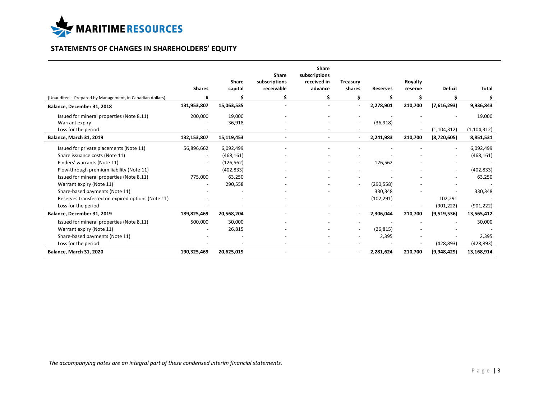

# **STATEMENTS OF CHANGES IN SHAREHOLDERS' EQUITY**

|                                                           | <b>Shares</b>            | Share<br>capital | Share<br>subscriptions<br>receivable | <b>Share</b><br>subscriptions<br>received in<br>advance | <b>Treasury</b><br>shares    | <b>Reserves</b>          | Royalty<br>reserve | <b>Deficit</b>           | <b>Total</b>  |
|-----------------------------------------------------------|--------------------------|------------------|--------------------------------------|---------------------------------------------------------|------------------------------|--------------------------|--------------------|--------------------------|---------------|
| (Unaudited - Prepared by Management, in Canadian dollars) |                          |                  | \$.                                  | Ś                                                       | Ś                            |                          |                    |                          | \$            |
| Balance, December 31, 2018                                | 131,953,807              | 15,063,535       |                                      |                                                         | ÷                            | 2,278,901                | 210,700            | (7,616,293)              | 9,936,843     |
| Issued for mineral properties (Note 8,11)                 | 200,000                  | 19,000           |                                      |                                                         |                              |                          |                    |                          | 19,000        |
| Warrant expiry                                            |                          | 36,918           |                                      |                                                         | $\overline{\phantom{a}}$     | (36,918)                 |                    |                          |               |
| Loss for the period                                       |                          |                  |                                      |                                                         |                              |                          |                    | (1, 104, 312)            | (1, 104, 312) |
| <b>Balance, March 31, 2019</b>                            | 132,153,807              | 15,119,453       | $\blacksquare$                       |                                                         | $\sim$                       | 2,241,983                | 210,700            | (8,720,605)              | 8,851,531     |
| Issued for private placements (Note 11)                   | 56,896,662               | 6,092,499        |                                      |                                                         |                              |                          |                    |                          | 6,092,499     |
| Share issuance costs (Note 11)                            | $\overline{\phantom{a}}$ | (468, 161)       |                                      |                                                         |                              |                          |                    |                          | (468, 161)    |
| Finders' warrants (Note 11)                               |                          | (126, 562)       |                                      |                                                         |                              | 126,562                  |                    |                          |               |
| Flow-through premium liability (Note 11)                  |                          | (402, 833)       |                                      |                                                         |                              |                          |                    |                          | (402, 833)    |
| Issued for mineral properties (Note 8,11)                 | 775,000                  | 63,250           |                                      |                                                         |                              |                          |                    | $\overline{\phantom{a}}$ | 63,250        |
| Warrant expiry (Note 11)                                  |                          | 290,558          |                                      |                                                         | $\overline{\phantom{a}}$     | (290, 558)               |                    |                          |               |
| Share-based payments (Note 11)                            |                          |                  |                                      |                                                         |                              | 330,348                  |                    |                          | 330,348       |
| Reserves transferred on expired options (Note 11)         |                          |                  |                                      |                                                         |                              | (102, 291)               |                    | 102,291                  |               |
| Loss for the period                                       |                          |                  |                                      |                                                         |                              |                          |                    | (901, 222)               | (901, 222)    |
| Balance, December 31, 2019                                | 189,825,469              | 20,568,204       |                                      | $\sim$                                                  |                              | 2,306,044                | 210,700            | (9,519,536)              | 13,565,412    |
| Issued for mineral properties (Note 8,11)                 | 500,000                  | 30,000           |                                      |                                                         | $\overline{\phantom{a}}$     | $\overline{\phantom{a}}$ |                    |                          | 30,000        |
| Warrant expiry (Note 11)                                  |                          | 26,815           |                                      |                                                         | $\blacksquare$               | (26, 815)                |                    |                          |               |
| Share-based payments (Note 11)                            |                          |                  |                                      |                                                         | $\overline{\phantom{a}}$     | 2,395                    |                    |                          | 2,395         |
| Loss for the period                                       |                          |                  |                                      |                                                         | $\overline{\phantom{a}}$     |                          |                    | (428, 893)               | (428, 893)    |
| Balance, March 31, 2020                                   | 190,325,469              | 20,625,019       |                                      |                                                         | $\qquad \qquad \blacksquare$ | 2,281,624                | 210,700            | (9,948,429)              | 13,168,914    |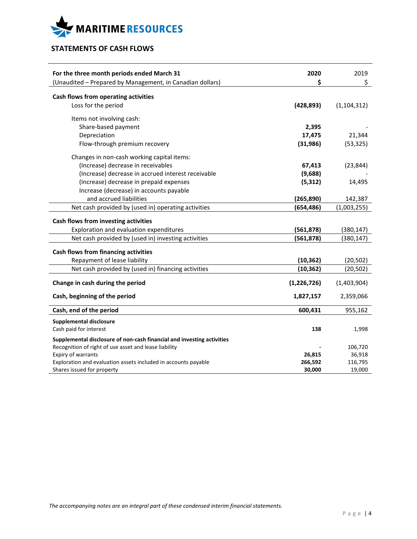

# **STATEMENTS OF CASH FLOWS**

| For the three month periods ended March 31<br>(Unaudited - Prepared by Management, in Canadian dollars) | 2020<br>\$    | 2019<br>\$    |
|---------------------------------------------------------------------------------------------------------|---------------|---------------|
| Cash flows from operating activities                                                                    |               |               |
| Loss for the period                                                                                     | (428, 893)    | (1, 104, 312) |
| Items not involving cash:                                                                               |               |               |
| Share-based payment                                                                                     | 2,395         |               |
| Depreciation                                                                                            | 17,475        | 21,344        |
| Flow-through premium recovery                                                                           | (31, 986)     | (53, 325)     |
| Changes in non-cash working capital items:                                                              |               |               |
| (Increase) decrease in receivables                                                                      | 67,413        | (23, 844)     |
| (Increase) decrease in accrued interest receivable                                                      | (9,688)       |               |
| (Increase) decrease in prepaid expenses                                                                 | (5, 312)      | 14,495        |
| Increase (decrease) in accounts payable                                                                 |               |               |
| and accrued liabilities                                                                                 | (265, 890)    | 142,387       |
| Net cash provided by (used in) operating activities                                                     | (654, 486)    | (1,003,255)   |
| Cash flows from investing activities                                                                    |               |               |
| Exploration and evaluation expenditures                                                                 | (561, 878)    | (380, 147)    |
| Net cash provided by (used in) investing activities                                                     | (561, 878)    | (380, 147)    |
| <b>Cash flows from financing activities</b>                                                             |               |               |
| Repayment of lease liability                                                                            | (10, 362)     | (20, 502)     |
| Net cash provided by (used in) financing activities                                                     | (10, 362)     | (20, 502)     |
| Change in cash during the period                                                                        | (1, 226, 726) | (1,403,904)   |
| Cash, beginning of the period                                                                           | 1,827,157     | 2,359,066     |
| Cash, end of the period                                                                                 | 600,431       | 955,162       |
| <b>Supplemental disclosure</b>                                                                          |               |               |
| Cash paid for interest                                                                                  | 138           | 1,998         |
| Supplemental disclosure of non-cash financial and investing activities                                  |               |               |
| Recognition of right of use asset and lease liability                                                   |               | 106,720       |
| Expiry of warrants                                                                                      | 26,815        | 36,918        |
| Exploration and evaluation assets included in accounts payable                                          | 266,592       | 116,795       |
| Shares issued for property                                                                              | 30,000        | 19,000        |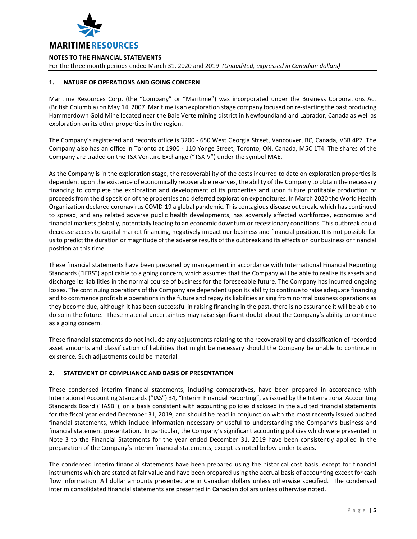

For the three month periods ended March 31, 2020 and 2019 *(Unaudited, expressed in Canadian dollars)*

# **1. NATURE OF OPERATIONS AND GOING CONCERN**

Maritime Resources Corp. (the "Company" or "Maritime") was incorporated under the Business Corporations Act (British Columbia) on May 14, 2007. Maritime is an exploration stage company focused on re-starting the past producing Hammerdown Gold Mine located near the Baie Verte mining district in Newfoundland and Labrador, Canada as well as exploration on its other properties in the region.

The Company's registered and records office is 3200 - 650 West Georgia Street, Vancouver, BC, Canada, V6B 4P7. The Company also has an office in Toronto at 1900 - 110 Yonge Street, Toronto, ON, Canada, M5C 1T4. The shares of the Company are traded on the TSX Venture Exchange ("TSX-V") under the symbol MAE.

As the Company is in the exploration stage, the recoverability of the costs incurred to date on exploration properties is dependent upon the existence of economically recoverable reserves, the ability of the Company to obtain the necessary financing to complete the exploration and development of its properties and upon future profitable production or proceeds from the disposition of the properties and deferred exploration expenditures. In March 2020 the World Health Organization declared coronavirus COVID-19 a global pandemic. This contagious disease outbreak, which has continued to spread, and any related adverse public health developments, has adversely affected workforces, economies and financial markets globally, potentially leading to an economic downturn or recessionary conditions. This outbreak could decrease access to capital market financing, negatively impact our business and financial position. It is not possible for us to predict the duration or magnitude of the adverse results of the outbreak and its effects on our business or financial position at this time.

These financial statements have been prepared by management in accordance with International Financial Reporting Standards ("IFRS") applicable to a going concern, which assumes that the Company will be able to realize its assets and discharge its liabilities in the normal course of business for the foreseeable future. The Company has incurred ongoing losses. The continuing operations of the Company are dependent upon its ability to continue to raise adequate financing and to commence profitable operations in the future and repay its liabilities arising from normal business operations as they become due, although it has been successful in raising financing in the past, there is no assurance it will be able to do so in the future. These material uncertainties may raise significant doubt about the Company's ability to continue as a going concern.

These financial statements do not include any adjustments relating to the recoverability and classification of recorded asset amounts and classification of liabilities that might be necessary should the Company be unable to continue in existence. Such adjustments could be material.

# **2. STATEMENT OF COMPLIANCE AND BASIS OF PRESENTATION**

These condensed interim financial statements, including comparatives, have been prepared in accordance with International Accounting Standards ("IAS") 34, "Interim Financial Reporting", as issued by the International Accounting Standards Board ("IASB"), on a basis consistent with accounting policies disclosed in the audited financial statements for the fiscal year ended December 31, 2019, and should be read in conjunction with the most recently issued audited financial statements, which include information necessary or useful to understanding the Company's business and financial statement presentation. In particular, the Company's significant accounting policies which were presented in Note 3 to the Financial Statements for the year ended December 31, 2019 have been consistently applied in the preparation of the Company's interim financial statements, except as noted below under Leases.

The condensed interim financial statements have been prepared using the historical cost basis, except for financial instruments which are stated at fair value and have been prepared using the accrual basis of accounting except for cash flow information. All dollar amounts presented are in Canadian dollars unless otherwise specified. The condensed interim consolidated financial statements are presented in Canadian dollars unless otherwise noted.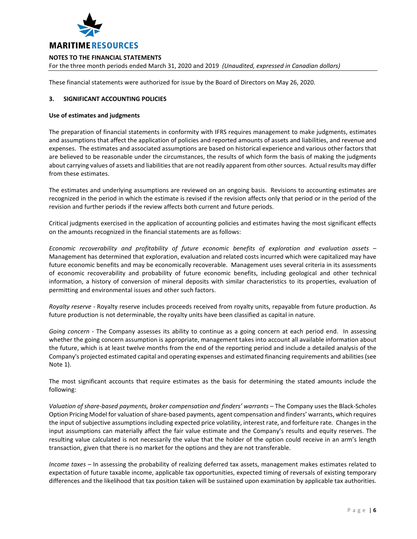

For the three month periods ended March 31, 2020 and 2019 *(Unaudited, expressed in Canadian dollars)*

These financial statements were authorized for issue by the Board of Directors on May 26, 2020.

## **3. SIGNIFICANT ACCOUNTING POLICIES**

#### **Use of estimates and judgments**

The preparation of financial statements in conformity with IFRS requires management to make judgments, estimates and assumptions that affect the application of policies and reported amounts of assets and liabilities, and revenue and expenses. The estimates and associated assumptions are based on historical experience and various other factors that are believed to be reasonable under the circumstances, the results of which form the basis of making the judgments about carrying values of assets and liabilities that are not readily apparent from other sources. Actual results may differ from these estimates.

The estimates and underlying assumptions are reviewed on an ongoing basis. Revisions to accounting estimates are recognized in the period in which the estimate is revised if the revision affects only that period or in the period of the revision and further periods if the review affects both current and future periods.

Critical judgments exercised in the application of accounting policies and estimates having the most significant effects on the amounts recognized in the financial statements are as follows:

*Economic recoverability and profitability of future economic benefits of exploration and evaluation assets* – Management has determined that exploration, evaluation and related costs incurred which were capitalized may have future economic benefits and may be economically recoverable. Management uses several criteria in its assessments of economic recoverability and probability of future economic benefits, including geological and other technical information, a history of conversion of mineral deposits with similar characteristics to its properties, evaluation of permitting and environmental issues and other such factors.

*Royalty reserve* - Royalty reserve includes proceeds received from royalty units, repayable from future production. As future production is not determinable, the royalty units have been classified as capital in nature.

*Going concern* - The Company assesses its ability to continue as a going concern at each period end. In assessing whether the going concern assumption is appropriate, management takes into account all available information about the future, which is at least twelve months from the end of the reporting period and include a detailed analysis of the Company's projected estimated capital and operating expenses and estimated financing requirements and abilities (see Note 1).

The most significant accounts that require estimates as the basis for determining the stated amounts include the following:

*Valuation of share-based payments, broker compensation and finders' warrants* – The Company uses the Black-Scholes Option Pricing Model for valuation of share-based payments, agent compensation and finders' warrants, which requires the input of subjective assumptions including expected price volatility, interest rate, and forfeiture rate. Changes in the input assumptions can materially affect the fair value estimate and the Company's results and equity reserves. The resulting value calculated is not necessarily the value that the holder of the option could receive in an arm's length transaction, given that there is no market for the options and they are not transferable.

*Income taxes* – In assessing the probability of realizing deferred tax assets, management makes estimates related to expectation of future taxable income, applicable tax opportunities, expected timing of reversals of existing temporary differences and the likelihood that tax position taken will be sustained upon examination by applicable tax authorities.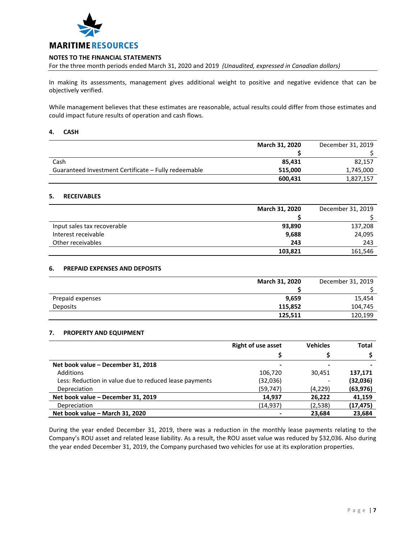

For the three month periods ended March 31, 2020 and 2019 *(Unaudited, expressed in Canadian dollars)*

In making its assessments, management gives additional weight to positive and negative evidence that can be objectively verified.

While management believes that these estimates are reasonable, actual results could differ from those estimates and could impact future results of operation and cash flows.

#### **4. CASH**

|                                                      | <b>March 31, 2020</b> | December 31, 2019 |
|------------------------------------------------------|-----------------------|-------------------|
|                                                      |                       |                   |
| Cash                                                 | 85.431                | 82,157            |
| Guaranteed Investment Certificate - Fully redeemable | 515.000               | 1,745,000         |
|                                                      | 600,431               | 1,827,157         |

# **5. RECEIVABLES**

|                             | <b>March 31, 2020</b> | December 31, 2019 |
|-----------------------------|-----------------------|-------------------|
|                             |                       |                   |
| Input sales tax recoverable | 93,890                | 137,208           |
| Interest receivable         | 9,688                 | 24,095            |
| Other receivables           | 243                   | 243               |
|                             | 103,821               | 161,546           |

# **6. PREPAID EXPENSES AND DEPOSITS**

|                  | <b>March 31, 2020</b> | December 31, 2019 |
|------------------|-----------------------|-------------------|
|                  |                       |                   |
| Prepaid expenses | 9,659                 | 15,454            |
| <b>Deposits</b>  | 115,852               | 104,745           |
|                  | 125,511               | 120,199           |

# **7. PROPERTY AND EQUIPMENT**

|                                                        | <b>Right of use asset</b> | <b>Vehicles</b> | <b>Total</b> |
|--------------------------------------------------------|---------------------------|-----------------|--------------|
|                                                        |                           |                 |              |
| Net book value - December 31, 2018                     | -                         |                 |              |
| <b>Additions</b>                                       | 106,720                   | 30.451          | 137,171      |
| Less: Reduction in value due to reduced lease payments | (32,036)                  |                 | (32, 036)    |
| Depreciation                                           | (59, 747)                 | (4,229)         | (63, 976)    |
| Net book value - December 31, 2019                     | 14.937                    | 26.222          | 41,159       |
| Depreciation                                           | (14,937)                  | (2,538)         | (17, 475)    |
| Net book value - March 31, 2020                        |                           | 23.684          | 23,684       |

During the year ended December 31, 2019, there was a reduction in the monthly lease payments relating to the Company's ROU asset and related lease liability. As a result, the ROU asset value was reduced by \$32,036. Also during the year ended December 31, 2019, the Company purchased two vehicles for use at its exploration properties.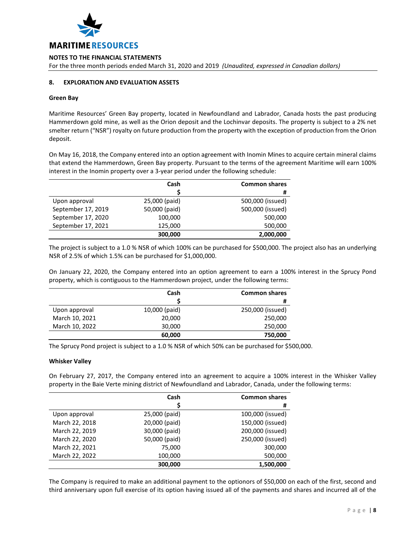

**NOTES TO THE FINANCIAL STATEMENTS** For the three month periods ended March 31, 2020 and 2019 *(Unaudited, expressed in Canadian dollars)*

# **8. EXPLORATION AND EVALUATION ASSETS**

#### **Green Bay**

Maritime Resources' Green Bay property, located in Newfoundland and Labrador, Canada hosts the past producing Hammerdown gold mine, as well as the Orion deposit and the Lochinvar deposits. The property is subject to a 2% net smelter return ("NSR") royalty on future production from the property with the exception of production from the Orion deposit.

On May 16, 2018, the Company entered into an option agreement with Inomin Mines to acquire certain mineral claims that extend the Hammerdown, Green Bay property. Pursuant to the terms of the agreement Maritime will earn 100% interest in the Inomin property over a 3-year period under the following schedule:

|                    | Cash          | <b>Common shares</b> |
|--------------------|---------------|----------------------|
|                    |               | #                    |
| Upon approval      | 25,000 (paid) | 500,000 (issued)     |
| September 17, 2019 | 50,000 (paid) | 500,000 (issued)     |
| September 17, 2020 | 100,000       | 500,000              |
| September 17, 2021 | 125,000       | 500,000              |
|                    | 300,000       | 2,000,000            |

The project is subject to a 1.0 % NSR of which 100% can be purchased for \$500,000. The project also has an underlying NSR of 2.5% of which 1.5% can be purchased for \$1,000,000.

On January 22, 2020, the Company entered into an option agreement to earn a 100% interest in the Sprucy Pond property, which is contiguous to the Hammerdown project, under the following terms:

|                | Cash          | <b>Common shares</b> |
|----------------|---------------|----------------------|
|                |               | #                    |
| Upon approval  | 10,000 (paid) | 250,000 (issued)     |
| March 10, 2021 | 20,000        | 250,000              |
| March 10, 2022 | 30,000        | 250,000              |
|                | 60,000        | 750,000              |

The Sprucy Pond project is subject to a 1.0 % NSR of which 50% can be purchased for \$500,000.

## **Whisker Valley**

On February 27, 2017, the Company entered into an agreement to acquire a 100% interest in the Whisker Valley property in the Baie Verte mining district of Newfoundland and Labrador, Canada, under the following terms:

|                | Cash          | <b>Common shares</b> |
|----------------|---------------|----------------------|
|                |               | #                    |
| Upon approval  | 25,000 (paid) | 100,000 (issued)     |
| March 22, 2018 | 20,000 (paid) | 150,000 (issued)     |
| March 22, 2019 | 30,000 (paid) | 200,000 (issued)     |
| March 22, 2020 | 50,000 (paid) | 250,000 (issued)     |
| March 22, 2021 | 75,000        | 300,000              |
| March 22, 2022 | 100,000       | 500,000              |
|                | 300,000       | 1,500,000            |

The Company is required to make an additional payment to the optionors of \$50,000 on each of the first, second and third anniversary upon full exercise of its option having issued all of the payments and shares and incurred all of the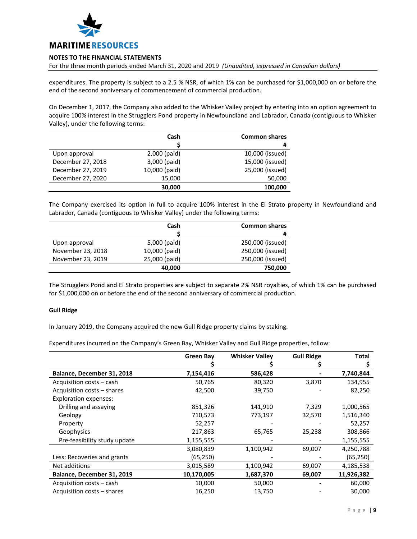

For the three month periods ended March 31, 2020 and 2019 *(Unaudited, expressed in Canadian dollars)*

expenditures. The property is subject to a 2.5 % NSR, of which 1% can be purchased for \$1,000,000 on or before the end of the second anniversary of commencement of commercial production.

On December 1, 2017, the Company also added to the Whisker Valley project by entering into an option agreement to acquire 100% interest in the Strugglers Pond property in Newfoundland and Labrador, Canada (contiguous to Whisker Valley), under the following terms:

|                   | Cash          | <b>Common shares</b> |
|-------------------|---------------|----------------------|
|                   |               | #                    |
| Upon approval     | 2,000 (paid)  | 10,000 (issued)      |
| December 27, 2018 | 3,000 (paid)  | 15,000 (issued)      |
| December 27, 2019 | 10,000 (paid) | 25,000 (issued)      |
| December 27, 2020 | 15,000        | 50,000               |
|                   | 30,000        | 100,000              |

The Company exercised its option in full to acquire 100% interest in the El Strato property in Newfoundland and Labrador, Canada (contiguous to Whisker Valley) under the following terms:

|                   | Cash          | <b>Common shares</b> |
|-------------------|---------------|----------------------|
|                   |               | #                    |
| Upon approval     | 5,000 (paid)  | 250,000 (issued)     |
| November 23, 2018 | 10,000 (paid) | 250,000 (issued)     |
| November 23, 2019 | 25,000 (paid) | 250,000 (issued)     |
|                   | 40,000        | 750,000              |

The Strugglers Pond and El Strato properties are subject to separate 2% NSR royalties, of which 1% can be purchased for \$1,000,000 on or before the end of the second anniversary of commercial production.

# **Gull Ridge**

In January 2019, the Company acquired the new Gull Ridge property claims by staking.

Expenditures incurred on the Company's Green Bay, Whisker Valley and Gull Ridge properties, follow:

|                              | <b>Green Bay</b> | <b>Whisker Valley</b> | <b>Gull Ridge</b> | <b>Total</b> |
|------------------------------|------------------|-----------------------|-------------------|--------------|
|                              |                  |                       |                   |              |
| Balance, December 31, 2018   | 7,154,416        | 586,428               |                   | 7,740,844    |
| Acquisition costs - cash     | 50,765           | 80,320                | 3,870             | 134,955      |
| Acquisition costs - shares   | 42,500           | 39,750                |                   | 82,250       |
| <b>Exploration expenses:</b> |                  |                       |                   |              |
| Drilling and assaying        | 851,326          | 141,910               | 7,329             | 1,000,565    |
| Geology                      | 710,573          | 773,197               | 32,570            | 1,516,340    |
| Property                     | 52,257           |                       |                   | 52,257       |
| Geophysics                   | 217,863          | 65,765                | 25,238            | 308,866      |
| Pre-feasibility study update | 1,155,555        |                       |                   | 1,155,555    |
|                              | 3,080,839        | 1,100,942             | 69,007            | 4,250,788    |
| Less: Recoveries and grants  | (65,250)         |                       |                   | (65, 250)    |
| Net additions                | 3,015,589        | 1,100,942             | 69,007            | 4,185,538    |
| Balance, December 31, 2019   | 10,170,005       | 1,687,370             | 69,007            | 11,926,382   |
| Acquisition costs - cash     | 10,000           | 50,000                |                   | 60,000       |
| Acquisition costs – shares   | 16,250           | 13,750                |                   | 30,000       |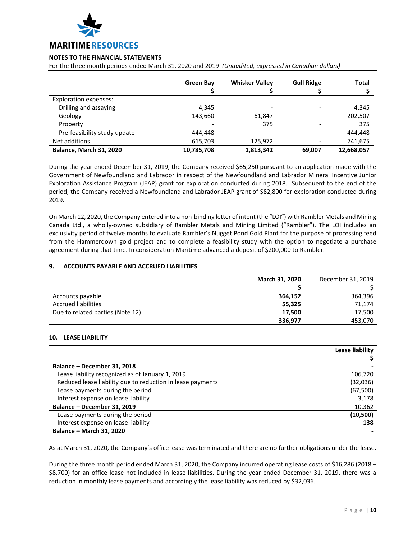

For the three month periods ended March 31, 2020 and 2019 *(Unaudited, expressed in Canadian dollars)*

|                                | <b>Green Bay</b> | <b>Whisker Valley</b> | <b>Gull Ridge</b> | <b>Total</b> |
|--------------------------------|------------------|-----------------------|-------------------|--------------|
| Exploration expenses:          |                  |                       |                   |              |
| Drilling and assaying          | 4,345            |                       |                   | 4,345        |
| Geology                        | 143,660          | 61.847                |                   | 202,507      |
| Property                       |                  | 375                   |                   | 375          |
| Pre-feasibility study update   | 444.448          |                       |                   | 444,448      |
| Net additions                  | 615,703          | 125,972               |                   | 741,675      |
| <b>Balance, March 31, 2020</b> | 10,785,708       | 1,813,342             | 69,007            | 12,668,057   |

During the year ended December 31, 2019, the Company received \$65,250 pursuant to an application made with the Government of Newfoundland and Labrador in respect of the Newfoundland and Labrador Mineral Incentive Junior Exploration Assistance Program (JEAP) grant for exploration conducted during 2018. Subsequent to the end of the period, the Company received a Newfoundland and Labrador JEAP grant of \$82,800 for exploration conducted during 2019.

On March 12, 2020, the Company entered into a non-binding letter of intent (the "LOI") with Rambler Metals and Mining Canada Ltd., a wholly-owned subsidiary of Rambler Metals and Mining Limited ("Rambler"). The LOI includes an exclusivity period of twelve months to evaluate Rambler's Nugget Pond Gold Plant for the purpose of processing feed from the Hammerdown gold project and to complete a feasibility study with the option to negotiate a purchase agreement during that time. In consideration Maritime advanced a deposit of \$200,000 to Rambler.

# **9. ACCOUNTS PAYABLE AND ACCRUED LIABILITIES**

|                                  | <b>March 31, 2020</b> | December 31, 2019 |
|----------------------------------|-----------------------|-------------------|
|                                  |                       |                   |
| Accounts payable                 | 364,152               | 364,396           |
| <b>Accrued liabilities</b>       | 55,325                | 71,174            |
| Due to related parties (Note 12) | 17,500                | 17,500            |
|                                  | 336,977               | 453,070           |

# **10. LEASE LIABILITY**

|                                                            | Lease liability |
|------------------------------------------------------------|-----------------|
|                                                            |                 |
| Balance - December 31, 2018                                |                 |
| Lease liability recognized as of January 1, 2019           | 106,720         |
| Reduced lease liability due to reduction in lease payments | (32,036)        |
| Lease payments during the period                           | (67, 500)       |
| Interest expense on lease liability                        | 3,178           |
| Balance - December 31, 2019                                | 10,362          |
| Lease payments during the period                           | (10, 500)       |
| Interest expense on lease liability                        | 138             |
| <b>Balance - March 31, 2020</b>                            |                 |

As at March 31, 2020, the Company's office lease was terminated and there are no further obligations under the lease.

During the three month period ended March 31, 2020, the Company incurred operating lease costs of \$16,286 (2018 – \$8,700) for an office lease not included in lease liabilities. During the year ended December 31, 2019, there was a reduction in monthly lease payments and accordingly the lease liability was reduced by \$32,036.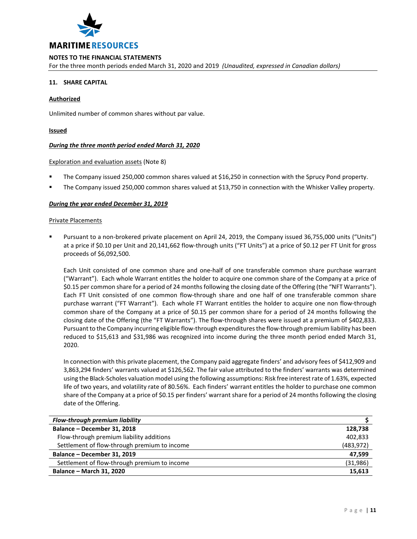

For the three month periods ended March 31, 2020 and 2019 *(Unaudited, expressed in Canadian dollars)*

# **11. SHARE CAPITAL**

## **Authorized**

Unlimited number of common shares without par value.

# **Issued**

## *During the three month period ended March 31, 2020*

## Exploration and evaluation assets (Note 8)

- The Company issued 250,000 common shares valued at \$16,250 in connection with the Sprucy Pond property.
- The Company issued 250,000 common shares valued at \$13,750 in connection with the Whisker Valley property.

## *During the year ended December 31, 2019*

#### Private Placements

 Pursuant to a non-brokered private placement on April 24, 2019, the Company issued 36,755,000 units ("Units") at a price if \$0.10 per Unit and 20,141,662 flow-through units ("FT Units") at a price of \$0.12 per FT Unit for gross proceeds of \$6,092,500.

Each Unit consisted of one common share and one-half of one transferable common share purchase warrant ("Warrant"). Each whole Warrant entitles the holder to acquire one common share of the Company at a price of \$0.15 per common share for a period of 24 months following the closing date of the Offering (the "NFT Warrants"). Each FT Unit consisted of one common flow-through share and one half of one transferable common share purchase warrant ("FT Warrant"). Each whole FT Warrant entitles the holder to acquire one non flow-through common share of the Company at a price of \$0.15 per common share for a period of 24 months following the closing date of the Offering (the "FT Warrants"). The flow-through shares were issued at a premium of \$402,833. Pursuant to the Company incurring eligible flow-through expenditures the flow-through premium liability has been reduced to \$15,613 and \$31,986 was recognized into income during the three month period ended March 31, 2020.

In connection with this private placement, the Company paid aggregate finders' and advisory fees of \$412,909 and 3,863,294 finders' warrants valued at \$126,562. The fair value attributed to the finders' warrants was determined using the Black-Scholes valuation model using the following assumptions: Risk free interest rate of 1.63%, expected life of two years, and volatility rate of 80.56%. Each finders' warrant entitles the holder to purchase one common share of the Company at a price of \$0.15 per finders' warrant share for a period of 24 months following the closing date of the Offering.

| Flow-through premium liability               |            |
|----------------------------------------------|------------|
| Balance - December 31, 2018                  | 128,738    |
| Flow-through premium liability additions     | 402,833    |
| Settlement of flow-through premium to income | (483, 972) |
| Balance - December 31, 2019                  | 47,599     |
| Settlement of flow-through premium to income | (31, 986)  |
| <b>Balance - March 31, 2020</b>              | 15,613     |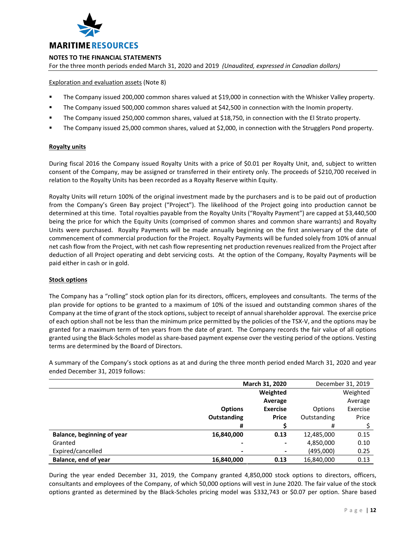

For the three month periods ended March 31, 2020 and 2019 *(Unaudited, expressed in Canadian dollars)*

# Exploration and evaluation assets (Note 8)

- The Company issued 200,000 common shares valued at \$19,000 in connection with the Whisker Valley property.
- The Company issued 500,000 common shares valued at \$42,500 in connection with the Inomin property.
- The Company issued 250,000 common shares, valued at \$18,750, in connection with the El Strato property.
- The Company issued 25,000 common shares, valued at \$2,000, in connection with the Strugglers Pond property.

## **Royalty units**

During fiscal 2016 the Company issued Royalty Units with a price of \$0.01 per Royalty Unit, and, subject to written consent of the Company, may be assigned or transferred in their entirety only. The proceeds of \$210,700 received in relation to the Royalty Units has been recorded as a Royalty Reserve within Equity.

Royalty Units will return 100% of the original investment made by the purchasers and is to be paid out of production from the Company's Green Bay project ("Project"). The likelihood of the Project going into production cannot be determined at this time. Total royalties payable from the Royalty Units ("Royalty Payment") are capped at \$3,440,500 being the price for which the Equity Units (comprised of common shares and common share warrants) and Royalty Units were purchased. Royalty Payments will be made annually beginning on the first anniversary of the date of commencement of commercial production for the Project. Royalty Payments will be funded solely from 10% of annual net cash flow from the Project, with net cash flow representing net production revenues realized from the Project after deduction of all Project operating and debt servicing costs. At the option of the Company, Royalty Payments will be paid either in cash or in gold.

# **Stock options**

The Company has a "rolling" stock option plan for its directors, officers, employees and consultants. The terms of the plan provide for options to be granted to a maximum of 10% of the issued and outstanding common shares of the Company at the time of grant of the stock options, subject to receipt of annual shareholder approval. The exercise price of each option shall not be less than the minimum price permitted by the policies of the TSX-V, and the options may be granted for a maximum term of ten years from the date of grant. The Company records the fair value of all options granted using the Black-Scholes model as share-based payment expense over the vesting period of the options. Vesting terms are determined by the Board of Directors.

A summary of the Company's stock options as at and during the three month period ended March 31, 2020 and year ended December 31, 2019 follows:

|                            | March 31, 2020     |                 |             | December 31, 2019 |
|----------------------------|--------------------|-----------------|-------------|-------------------|
|                            |                    | Weighted        |             | Weighted          |
|                            |                    | Average         |             | Average           |
|                            | <b>Options</b>     | <b>Exercise</b> | Options     | Exercise          |
|                            | <b>Outstanding</b> | <b>Price</b>    | Outstanding | Price             |
|                            | #                  |                 | #           |                   |
| Balance, beginning of year | 16,840,000         | 0.13            | 12,485,000  | 0.15              |
| Granted                    | $\blacksquare$     | ۰               | 4,850,000   | 0.10              |
| Expired/cancelled          | $\blacksquare$     | $\blacksquare$  | (495,000)   | 0.25              |
| Balance, end of year       | 16,840,000         | 0.13            | 16,840,000  | 0.13              |

During the year ended December 31, 2019, the Company granted 4,850,000 stock options to directors, officers, consultants and employees of the Company, of which 50,000 options will vest in June 2020. The fair value of the stock options granted as determined by the Black-Scholes pricing model was \$332,743 or \$0.07 per option. Share based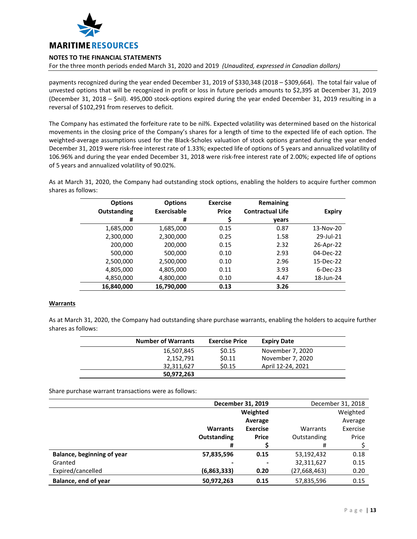

For the three month periods ended March 31, 2020 and 2019 *(Unaudited, expressed in Canadian dollars)*

payments recognized during the year ended December 31, 2019 of \$330,348 (2018 – \$309,664). The total fair value of unvested options that will be recognized in profit or loss in future periods amounts to \$2,395 at December 31, 2019 (December 31, 2018 – \$nil). 495,000 stock-options expired during the year ended December 31, 2019 resulting in a reversal of \$102,291 from reserves to deficit.

The Company has estimated the forfeiture rate to be nil%. Expected volatility was determined based on the historical movements in the closing price of the Company's shares for a length of time to the expected life of each option. The weighted-average assumptions used for the Black-Scholes valuation of stock options granted during the year ended December 31, 2019 were risk-free interest rate of 1.33%; expected life of options of 5 years and annualized volatility of 106.96% and during the year ended December 31, 2018 were risk-free interest rate of 2.00%; expected life of options of 5 years and annualized volatility of 90.02%.

As at March 31, 2020, the Company had outstanding stock options, enabling the holders to acquire further common shares as follows:

| <b>Options</b><br><b>Outstanding</b> | <b>Options</b><br><b>Exercisable</b> | <b>Exercise</b><br><b>Price</b> | Remaining<br><b>Contractual Life</b> | <b>Expiry</b> |
|--------------------------------------|--------------------------------------|---------------------------------|--------------------------------------|---------------|
| #                                    | #                                    |                                 | years                                |               |
| 1,685,000                            | 1,685,000                            | 0.15                            | 0.87                                 | 13-Nov-20     |
| 2,300,000                            | 2,300,000                            | 0.25                            | 1.58                                 | 29-Jul-21     |
| 200,000                              | 200,000                              | 0.15                            | 2.32                                 | 26-Apr-22     |
| 500,000                              | 500,000                              | 0.10                            | 2.93                                 | 04-Dec-22     |
| 2,500,000                            | 2,500,000                            | 0.10                            | 2.96                                 | 15-Dec-22     |
| 4,805,000                            | 4,805,000                            | 0.11                            | 3.93                                 | $6-Dec-23$    |
| 4,850,000                            | 4,800,000                            | 0.10                            | 4.47                                 | 18-Jun-24     |
| 16,840,000                           | 16,790,000                           | 0.13                            | 3.26                                 |               |

# **Warrants**

As at March 31, 2020, the Company had outstanding share purchase warrants, enabling the holders to acquire further shares as follows:

| <b>Number of Warrants</b> | <b>Exercise Price</b> | <b>Expiry Date</b> |
|---------------------------|-----------------------|--------------------|
| 16,507,845                | \$0.15                | November 7, 2020   |
| 2,152,791                 | \$0.11                | November 7, 2020   |
| 32.311.627                | \$0.15                | April 12-24, 2021  |
| 50,972,263                |                       |                    |

Share purchase warrant transactions were as follows:

|                            | December 31, 2019 |                 |              | December 31, 2018 |
|----------------------------|-------------------|-----------------|--------------|-------------------|
|                            |                   | Weighted        |              | Weighted          |
|                            |                   | Average         |              | Average           |
|                            | <b>Warrants</b>   | <b>Exercise</b> | Warrants     | Exercise          |
|                            | Outstanding       | <b>Price</b>    | Outstanding  | Price             |
|                            | #                 |                 | #            |                   |
| Balance, beginning of year | 57,835,596        | 0.15            | 53,192,432   | 0.18              |
| Granted                    |                   |                 | 32,311,627   | 0.15              |
| Expired/cancelled          | (6,863,333)       | 0.20            | (27,668,463) | 0.20              |
| Balance, end of year       | 50.972.263        | 0.15            | 57,835,596   | 0.15              |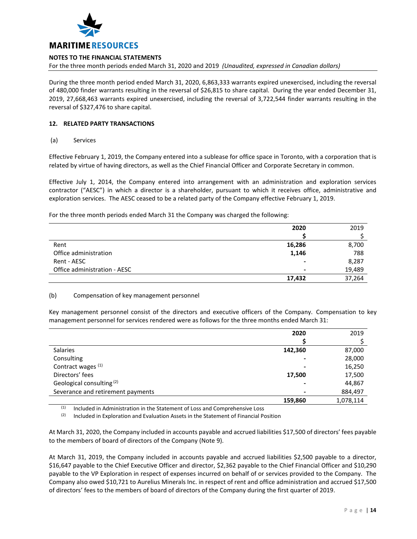

For the three month periods ended March 31, 2020 and 2019 *(Unaudited, expressed in Canadian dollars)*

During the three month period ended March 31, 2020, 6,863,333 warrants expired unexercised, including the reversal of 480,000 finder warrants resulting in the reversal of \$26,815 to share capital. During the year ended December 31, 2019, 27,668,463 warrants expired unexercised, including the reversal of 3,722,544 finder warrants resulting in the reversal of \$327,476 to share capital.

# **12. RELATED PARTY TRANSACTIONS**

(a) Services

Effective February 1, 2019, the Company entered into a sublease for office space in Toronto, with a corporation that is related by virtue of having directors, as well as the Chief Financial Officer and Corporate Secretary in common.

Effective July 1, 2014, the Company entered into arrangement with an administration and exploration services contractor ("AESC") in which a director is a shareholder, pursuant to which it receives office, administrative and exploration services. The AESC ceased to be a related party of the Company effective February 1, 2019.

For the three month periods ended March 31 the Company was charged the following:

|                              | 2020   | 2019   |
|------------------------------|--------|--------|
|                              |        |        |
| Rent                         | 16,286 | 8,700  |
| Office administration        | 1,146  | 788    |
| Rent - AESC                  |        | 8,287  |
| Office administration - AESC |        | 19,489 |
|                              | 17,432 | 37,264 |

# (b) Compensation of key management personnel

Key management personnel consist of the directors and executive officers of the Company. Compensation to key management personnel for services rendered were as follows for the three months ended March 31:

|                                      | 2020    | 2019      |
|--------------------------------------|---------|-----------|
|                                      |         |           |
| Salaries                             | 142,360 | 87,000    |
| Consulting                           |         | 28,000    |
| Contract wages <sup>(1)</sup>        |         | 16,250    |
| Directors' fees                      | 17,500  | 17,500    |
| Geological consulting <sup>(2)</sup> |         | 44,867    |
| Severance and retirement payments    |         | 884,497   |
|                                      | 159,860 | 1,078,114 |

(1) Included in Administration in the Statement of Loss and Comprehensive Loss

 $(2)$  Included in Exploration and Evaluation Assets in the Statement of Financial Position

At March 31, 2020, the Company included in accounts payable and accrued liabilities \$17,500 of directors' fees payable to the members of board of directors of the Company (Note 9).

At March 31, 2019, the Company included in accounts payable and accrued liabilities \$2,500 payable to a director, \$16,647 payable to the Chief Executive Officer and director, \$2,362 payable to the Chief Financial Officer and \$10,290 payable to the VP Exploration in respect of expenses incurred on behalf of or services provided to the Company. The Company also owed \$10,721 to Aurelius Minerals Inc. in respect of rent and office administration and accrued \$17,500 of directors' fees to the members of board of directors of the Company during the first quarter of 2019.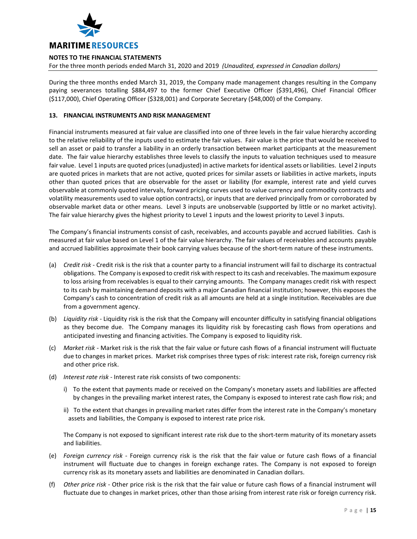

For the three month periods ended March 31, 2020 and 2019 *(Unaudited, expressed in Canadian dollars)*

During the three months ended March 31, 2019, the Company made management changes resulting in the Company paying severances totalling \$884,497 to the former Chief Executive Officer (\$391,496), Chief Financial Officer (\$117,000), Chief Operating Officer (\$328,001) and Corporate Secretary (\$48,000) of the Company.

# **13. FINANCIAL INSTRUMENTS AND RISK MANAGEMENT**

Financial instruments measured at fair value are classified into one of three levels in the fair value hierarchy according to the relative reliability of the inputs used to estimate the fair values. Fair value is the price that would be received to sell an asset or paid to transfer a liability in an orderly transaction between market participants at the measurement date. The fair value hierarchy establishes three levels to classify the inputs to valuation techniques used to measure fair value. Level 1 inputs are quoted prices (unadjusted) in active markets for identical assets or liabilities. Level 2 inputs are quoted prices in markets that are not active, quoted prices for similar assets or liabilities in active markets, inputs other than quoted prices that are observable for the asset or liability (for example, interest rate and yield curves observable at commonly quoted intervals, forward pricing curves used to value currency and commodity contracts and volatility measurements used to value option contracts), or inputs that are derived principally from or corroborated by observable market data or other means. Level 3 inputs are unobservable (supported by little or no market activity). The fair value hierarchy gives the highest priority to Level 1 inputs and the lowest priority to Level 3 inputs.

The Company's financial instruments consist of cash, receivables, and accounts payable and accrued liabilities. Cash is measured at fair value based on Level 1 of the fair value hierarchy. The fair values of receivables and accounts payable and accrued liabilities approximate their book carrying values because of the short-term nature of these instruments.

- (a) *Credit risk* Credit risk is the risk that a counter party to a financial instrument will fail to discharge its contractual obligations. The Company is exposed to credit risk with respect to its cash and receivables. The maximum exposure to loss arising from receivables is equal to their carrying amounts. The Company manages credit risk with respect to its cash by maintaining demand deposits with a major Canadian financial institution; however, this exposes the Company's cash to concentration of credit risk as all amounts are held at a single institution. Receivables are due from a government agency.
- (b) *Liquidity risk* Liquidity risk is the risk that the Company will encounter difficulty in satisfying financial obligations as they become due. The Company manages its liquidity risk by forecasting cash flows from operations and anticipated investing and financing activities. The Company is exposed to liquidity risk.
- (c) *Market risk* Market risk is the risk that the fair value or future cash flows of a financial instrument will fluctuate due to changes in market prices. Market risk comprises three types of risk: interest rate risk, foreign currency risk and other price risk.
- (d) *Interest rate risk* Interest rate risk consists of two components:
	- i) To the extent that payments made or received on the Company's monetary assets and liabilities are affected by changes in the prevailing market interest rates, the Company is exposed to interest rate cash flow risk; and
	- ii) To the extent that changes in prevailing market rates differ from the interest rate in the Company's monetary assets and liabilities, the Company is exposed to interest rate price risk.

The Company is not exposed to significant interest rate risk due to the short-term maturity of its monetary assets and liabilities.

- (e) *Foreign currency risk* Foreign currency risk is the risk that the fair value or future cash flows of a financial instrument will fluctuate due to changes in foreign exchange rates. The Company is not exposed to foreign currency risk as its monetary assets and liabilities are denominated in Canadian dollars.
- (f) *Other price risk* Other price risk is the risk that the fair value or future cash flows of a financial instrument will fluctuate due to changes in market prices, other than those arising from interest rate risk or foreign currency risk.